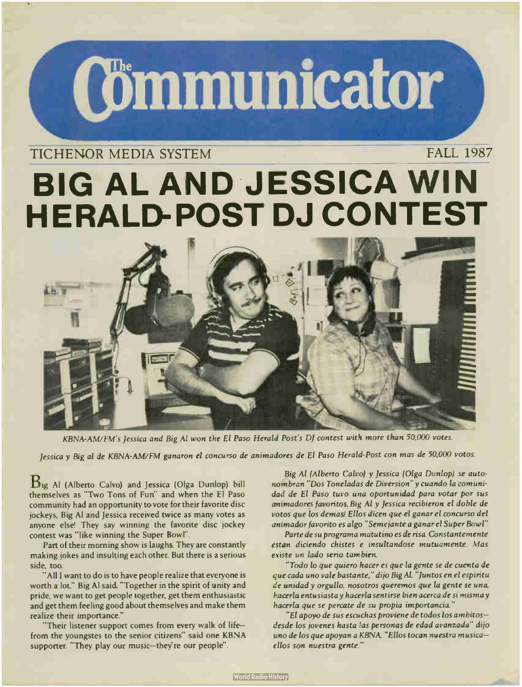# **Communicator**

### TICHENOR MEDIA SYSTEM FALL 1987

## BIG AL AND JESSICA WIN **HERALD-POST DJ CONTEST**



KBNA-AM/FM's Jessica and Big Al won the El Paso Herald Post's DJ contest with more than 50,000 votes.

Jessica y Big al de KBNA-AWFM ganaron el concurso de animadores de El Paso Herald- Post con mas de 50,000 votos.

Big Al ( Alberto Calvo) and Jessica ( Olga Dunlop) bill themselves as "Two Tons of Fun" and when the El Paso community had an opportunity to vote for their favorite disc jockeys, Big Al and Jessica received twice as many votes as anyone else! They say winning the favorite disc jockey contest was "like winning the Super Bowl".

Part of their morning show is laughs. They are constantly making jokes and insulting each other. But there is a serious side, too.

"All I want to do is to have people realize that everyone is worth a lot," Big Al said. " Together in the spirit of unity and pride, we want to get people together, get them enthusiastic and get them feeling good about themselves and make them .realize their importance."

"Their listener support comes from every walk of life from the youngstes to the senior citizens" said one KBNA supporter. "They play our music-they're our people".

Big Al (Alberto Calvo) y Jessica ( Olga Dunlop) se autonombran " Dos Toneladas de Diversion" y cuando la comunidad de El Paso tuvo una oportunidad para votar por sus animadores favoritos, Big Al y Jessica recibieron el doble de votos que los demas! Ellos dicen que el ganar el concurso del animador favorito es algo " Semejante a ganar el Super Bowl"

Parte de su programa matutino es de risa. Constantemente estan diciendo chistes e insultandose mutuamente. Mas existe un lado serio tambien.

-Todo lo que quiero hacer es que la gente se de cuenta de que cada uno vale bastante," di jo Big AL "Juntos en el espiritu de unidad y orgullo, nosotros queremos que la gente se una, hacerla entusiasta y hacerla sentirse bien acerca de si misma y hacerla que se percate de su propia importancia."

"El apoyo de sus escuchas proviene de todos los ambitos desde los jovenes hasta las personas de edad avanzada" dijo uno de los que apoyan a KBNA. "Ellos tocan nuestra musicaellos son nuestra gente."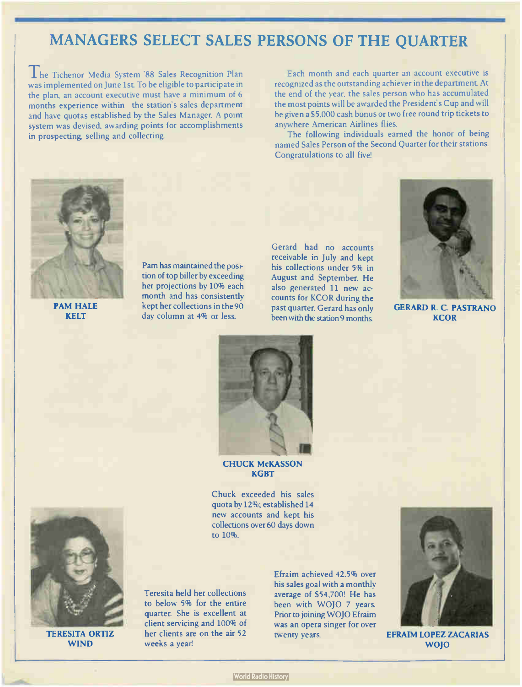## MANAGERS SELECT SALES PERSONS OF THE QUARTER

I he Tichenor Media System '88 Sales Recognition Plan was implemented on June 1st To be eligible to participate in the plan, an account executive must have a minimum of 6 months experience within the station's sales department and have quotas established by the Sales Manager. A point system was devised, awarding points for accomplishments in prospecting, selling and collecting.

Each month and each quarter an account executive is recognized as the outstanding achiever in the department At the end of the year, the sales person who has accumulated the most points will be awarded the President's Cup and will be given a \$5,000 cash bonus or two free round trip tickets to anywhere American Airlines flies.

The following individuals earned the honor of being named Sales Person of the Second Quarter for their stations. Congratulations to all five!



PAM HALE KELT

Pam has maintained the position of top biller by exceeding her projections by 10% each month and has consistently kept her collections in the 90 day column at 4% or less.

Gerard had no accounts receivable in July and kept his collections under 5% in August and September. He also generated 11 new accounts for KCOR during the past quarter. Gerard has only been with the station 9 months.



GERARD R. C. PASTRANO **KCOR** 



#### CHUCK McKASSON **KGBT**

Chuck exceeded his sales quota by 12%; established 14 new accounts and kept his collections over 60 days down to 10%.



TERESITA ORTIZ WIND

Teresita held her collections to below 5% for the entire quarter. She is excellent at client servicing and 100% of her clients are on the air 52 weeks a year!

Efraim achieved 42.5% over his sales goal with a monthly average of \$54,700! He has been with WOJO 7 years. Prior to joining WOJO Efraim was an opera singer for over twenty years.



EFRAIM LOPEZ ZACARIAS WOJO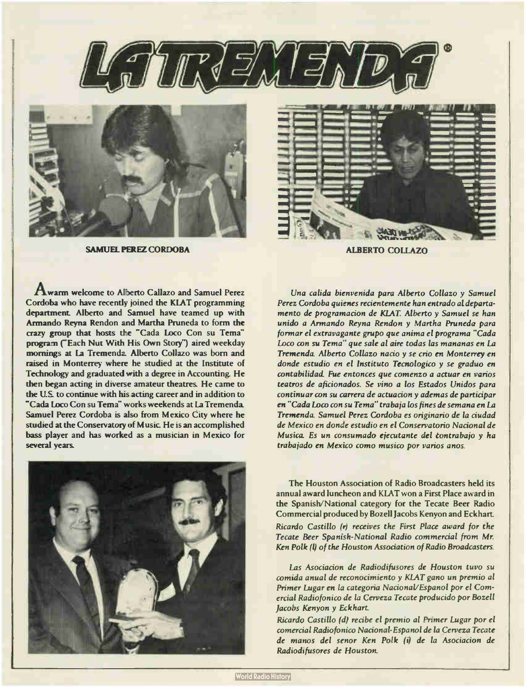



SAMUEL PEREZ CORDOBA ALBERTO COLLAZO



Awarm welcome to Alberto Callazo and Samuel Perez Cordoba who have recently joined the KLAT programming department. Alberto and Samuel have teamed up with Armando Reyna Rendon and Martha Pruneda to form the crazy group that hosts the "Cada Loco Con su Tema" program ("Each Nut With His Own Story") aired weekday mornings at la Tremenda Alberto Collazo was born and raised in Monterrey where he studied at the Institute of Technology and graduated with a degree in Accounting. He then began acting in diverse amateur theatres. He came to the U.S\_ to continue with his acting career and in addition to "Cada Loco Con su Tema" works weekends at La Tremenda Samuel Perez Cordoba is also from Mexico City where he studied at the Conservatory of Music He is an accomplished bass player and has worked as a musician in Mexico for several years.



Una calida bienvenida para Alberto Collazo y Samuel Perez Cordoba quienes recientemente han entrado al departamento de programacion de KLAT. Alberto y Samuel se han unido a Armando Reyna Rendon y Martha Pruneda para formar el extravagante grupo que anima el programa "Cada Loco con su Tema'' que sale al aire todas las mananas en La Tremenda\_ Alberto Collazo nacio y se crio en Monterrey en donde estudio en el Instituto Tecnologico y se graduo en contabilidad\_ Fue entonces que comenzo a actuar en varios teatros de aficionados. Se vino a los Estados Unidos para continuar con su carrera de actuacion y ademas de participar en " Cada Loco con su Tema" trabaja los fines de semana en La Tremenda\_ Samuel Perez Cordoba es originario de la ciudad de Mexico en donde estudio en el Conservatorio Nacional de Musica Es un consumado ejecutante del tontrabajo y ha trabajado en Mexico como musico por varios anos.

The Houston Association of Radio Broadcasters held its annual award luncheon and KLAT won a First Place award in the Spanish/National category for the Tecate Beer Radio Commercial produced by Bozell Jacobs Kenyon and Eckhart. Ricardo Castillo (r) receives the First Place award for the Tecate Beer Spanish- National Radio commercial from Mr. Ken Polk (I) of the Houston Association of Radio Broadcasters.

Las Asociacion de Radiodifusores de Houston tuvo su comtda anual de reconocimiento y KLAT gano un premio al Primer Lugar en la categoria Nacional/ Espanol por el Comercial Radiofonico de la Cerveza Tecate producido por Bozell Jacobs Kenyon y Eckhart

Ricardo Castillo (d) recibe el premio al Primer Lugar por el comercial Radiofonico Nacional-Espanol de la Cerveza Tecate de manos del senor Ken Polk (i) de la Asociacion de Radiodifusores de Houston.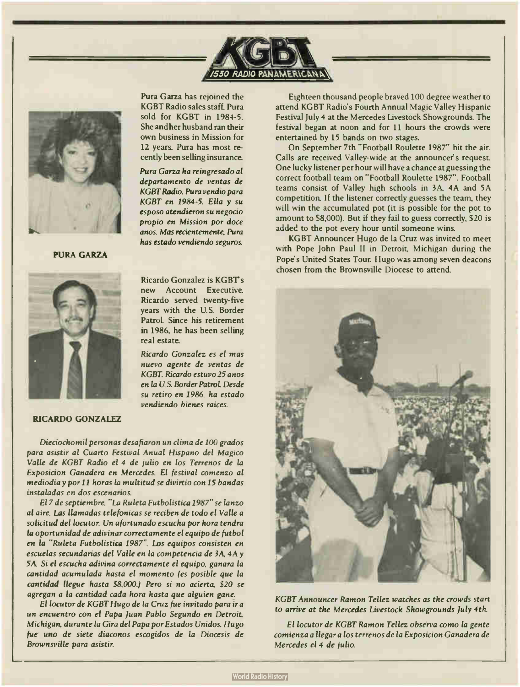



PURA GARZA



Pura Garza has rejoined the KGBT Radio sales staff. Pura sold for KGBT in 1984-5. She and her husband ran their own business in Mission for 12 years. Pura has most recently been selling insurance.

Pura Garza ha reingresado al departamento de yentas de KGBT Radio. Pura vendio para KGBT en 1984-5. Ella y su esposo atendieron su negocio propio en Mission por doce anos. Mas recientemente, Pura has estado vendiendo seguros.

Ricardo Gonzalez is KGBT's new Account Executive. Ricardo served twenty-five years with the U.S. Border Patrol\_ Since his retirement in 1986, he has been selling real estate.

Ricardo Gonzalez es el mas nuevo agente de yentas de KGBT. Ricardo estuvo 25 anos en la U.S. Border Patrol. Desde su retiro en 1986. ha estado vendiendo bienes raices.

#### RICARDO GONZALEZ

Dieciochomil personas desafiaron un clima de 100 grados para asistir al Cuarto Festival Anual Hispano del Magico Valle de KGBT Radio el 4 de julio en los Terrenos de la Exposicion Ganadera en Mercedes. El festival comenzo al mediodia y por <sup>11</sup> horas la multitud se divirtio con 15 bandas instaladas en dos escenarios.

El 7 de septiembre. " La Ruleta Futbolistica 1987" se lanzo al aire. Las llamadas telefonicas se reciben de todo el Valle a solicitud del locutor. Un afortunado escucha por hora tendra la oportunidad de adivinar correctamente el equipo de futbol en la "Ruleta Futbolistica 1987". Los equipos consisten en escuelas secundarias del Valle en la competencia de 3A, 4A y 5A. Si el escucha adivina correctamente el equipo, ganara la cantidad acumulada hasta el momento (es posible que la cantidad llegue hasta \$8,000.) Pero si no acierta, \$20 se agregan a la cantidad cada hora hasta que alguien gane.

El locutor de KGBT Hugo de la Cruz fue invitado para ir a un encuentro con el Papa Juan Pablo Segundo en Detroit, Michigan, durante la Gira del Papa por Estados Unidos. Hugo fue uno de siete diaconos escogidos de la Diocesis de Brownsville para asistir.

Eighteen thousand people braved 100 degree weather to attend KGBT Radio's Fourth Annual Magic Valley Hispanic Festival July 4 at the Mercedes Livestock Showgrounds. The festival began at noon and for 11 hours the crowds were entertained by 15 bands on two stages.

On September 7th " Football Roulette 1987" hit the air. Calls are received Valley- wide at the announcer's request One lucky listener per hour will have a chance at guessing the correct football team on " Football Roulette 1987". Football teams consist of Valley high schools in 3A, 4A and 5A competition If the listener correctly guesses the team, they will win the accumulated pot (it is possible for the pot to amount to \$8,000). But if they fail to guess correctly, \$20 is added to the pot every hour until someone wins.

KGBT Announcer Hugo de la Cruz was invited to meet with Pope John Paul Il in Detroit, Michigan during the Pope's United States Tour. Hugo was among seven deacons chosen from the Brownsville Diocese to attend.



KGBT Announcer Ramon Tellez watches as the crowds start to arrive at the Mercedes Livestock Showgrounds July 4th.

El locutor de KGBT Ramon Tellez observa como la gente comienza a llegar a los terrenos de la Exposicion Ganadera de Mercedes el 4 de julio.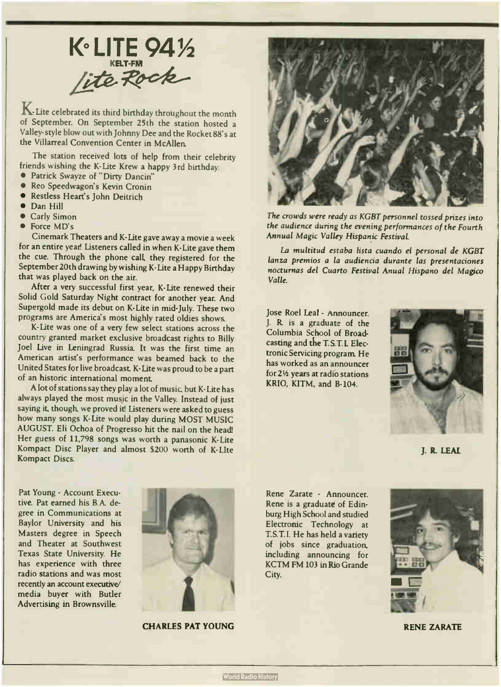K° LITE 9<sup>4</sup> /<sup>2</sup> lite Rock

K-Lite celebrated its third birthday throughout the month of September. On September 25th the station hosted a Valley- style blow out with Johnny Dee and the Rocket 88's at the Villarreal Convention Center in McAllen.

The station received lots of help from their celebrity friends wishing the K-Lite Krew a happy 3rd birthday:

- Patrick Swayze of " Dirty Dancin"
- Reo Speedwagon's Kevin Cronin
- Restless Heart's John Deitrich
- Dan Hill
- Carly Simon
- Force MD's

Cinemark Theaters and K- Lite gave away a movie a week for an entire year. Listeners called in when K-Lite gave them the cue. Through the phone call, they registered for the September 20th drawing by wishing K-Lite a Happy Birthday that was played back on the air.

After a very successful first year, K-Lite renewed their Solid Gold Saturday Night contract for another year. And Supergold made its debut on K-Lite in mid- July. These two programs are America's most highly rated oldies shows.

K-Lite was one of a very few select stations across the country granted market exclusive broadcast rights to Billy Joel Live in Leningrad Russia It was the first time an American artist's performance was beamed back to the United States for live broadcast K- Lite was proud to be a part of an historic international moment.

A lot of stations say they play a lot of music, but K-Lite has always played the most music in the Valley. Instead of just saying it, though, we proved it! Listeners were asked to guess how many songs K-Lite would play during MOST MUSIC AUGUST. Eli Ochoa of Progresso hit the nail on the head! Her guess of 11,798 songs was worth a panasonic K-Lite Kompact Disc Player and almost \$200 worth of K-Llte Kompact Discs.



The crowds were ready as KGBT personnel tossed prizes into the audience during the evening performances of the Fourth Annual Magic Valley Hispanic Festival.

La multitud estaba lista cuando el personal de KGBT lanza premios a la audiencia durante las presentaciones nocturnas del Cuarto Festival Anual Hispano del Magico Valle.

Jose Roel Leal - Announcer. J. R. is a graduate of the Columbia School of Broadcasting and the T.S.T.L Electronic Servicing program. He has worked as an announcer for  $2\frac{1}{2}$  years at radio stations KRIO, KITM, and B-104.



J. R. LEAL

Pat Young - Account Executive. Pat earned his B.A. degree in Communications at Baylor University and his Masters degree in Speech and Theater at Southwest Texas State University. He has experience with three radio stations and was most recently an account executive/ media buyer with Butler Advertising in Brownsville.



CHARLES PAT YOUNG

Rene Zarate - Announcer. Rene is a graduate of Edinburg High School and studied Electronic Technology at T.S.T.I. He has held a variety of jobs since graduation, including announcing for KCTM FM 103 in Rio Grande City.



RENE ZARATE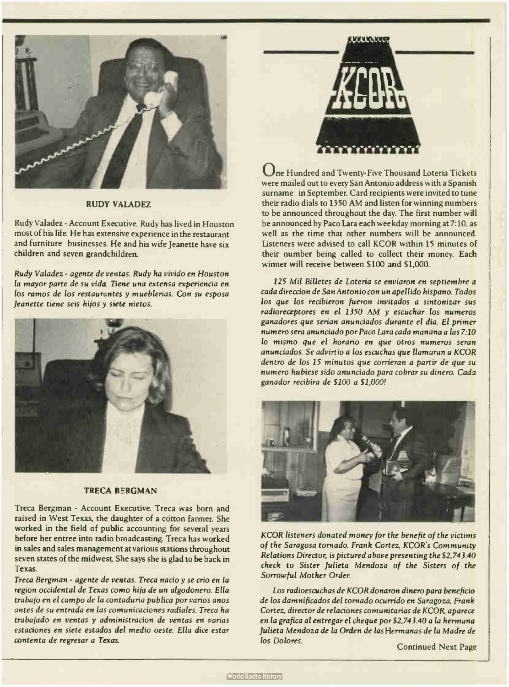

#### RUDY VALADEZ

Rudy Valadez - Account Executive. Rudy has lived in Houston most of his life. He has extensive experience in the restaurant and furniture businesses. He and his wife Jeanette have six children and seven grandchildren.

Rudy Valadez - agente de yentas. Rudy ha vivido en Houston la mayor parte de su vida. Tiene una extensa experiencia en los ramos de los restaurantes y mueblerías. Con su esposa Jeanette tiene seis hijos y siete nietos.



#### TRECA BERGMAN

Treca Bergman - Account Executive. Treca was born and raised in West Texas, the daughter of a cotton farmer. She worked in the field of public accounting for several years before her entree into radio broadcasting. Treca has worked in sales and sales management at various stations throughout seven states of the midwest She says she is glad to be back in Texas.

Treca Bergman - agente de yentas. Treca nacio y se crio en la region occidental de Texas como hija de un algodonero. Ella trabajo en el campo de la contaduria publica por varios anos antes de su entrada en las comunicaciones radiales. Treca ha trabajado en yentas y administracion de yentas en varias estaciones en siete estados del medio oeste. Ella dice estar contenta de regresar a Texas.



One Hundred and Twenty- Five Thousand Loteria Tickets were mailed out to every San Antonio address with a Spanish surname in September. Card recipients were invited to tune their radio dials to 1350 AM and listen for winning numbers to be announced throughout the day. The first number will be announced by Paco Lara each weekday morning at 7:10, as well as the time that other numbers will be announced. Listeners were advised to call KCOR within 15 minutes of their number being called to collect their money. Each winner will receive between \$100 and \$1,000.

125 Mil Billetes de Loteria se enviaron en septiembre a cada direccion de San Antonio con un apellido hispano. Todos los que los recibieron fueron invitados a sintonizar sus radioreceptores en el 1350 AM y escuchar los numeros ganadores que serian anunciados durante el dia. El primer numero sera anunciado por Paco Lara cada manana a las 7:10 lo mismo que el horario en que otros numeros seran anunciados. Se advirtio a los escuchas que llamaran a KCOR dentro de los 15 minutos que corrieran a partir de que su numero hubiese sido anunciado para cobrar su dinero. Cada ganador recibira de \$100 a \$1,000!



KCOR listeners donated money for the benefit of the victims of the Saragosa tornado. Frank Cortez, KCOR's Community Relations Director, is pictured above presenting the \$2,743.40 check to Sister Julieta Mendoza of the Sisters of the Sorrowful Mother Order.

Los radioescuchas de KCOR donaron dinero para beneficio de los damnificados del tornado ocurrido en Saragoza. Frank Cortez, director de relaciones comunitarias de KCOR, aparece en la grafica al entregar el cheque por \$2,743.40 a la hermana Julieta Mendoza de la Orden de las Hermanas de la Madre de los Dolores.

Continued Next Page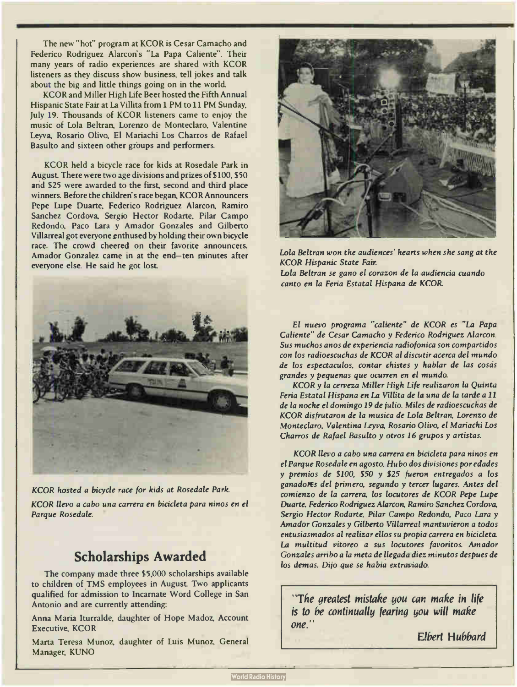The new " hot" program at KCOR is Cesar Camacho and Federico Rodriguez Alarcon's " La Papa Caliente". Their many years of radio experiences are shared with KCOR listeners as they discuss show business, tell jokes and talk about the big and little things going on in the world.

KCOR and Miller High Life Beer hosted the Fifth Annual Hispanic State Fair at La Villita from 1 PM to 11 PM Sunday, July 19. Thousands of KCOR listeners came to enjoy the music of Lola Beltran, Lorenzo de Monteclaro, Valentine Leyva, Rosario Olivo, El Mariachi Los Charros de Rafael Basulto and sixteen other groups and performers.

KCOR held a bicycle race for kids at Rosedale Park in August. There were two age divisions and prizes of \$100, \$50 and \$25 were awarded to the first, second and third place winners. Before the children's race began, KCOR Announcers Pepe Lupe Duarte, Federico Rodriguez Alarcon, Ramiro Sanchez Cordova, Sergio Hector Rodarte, Pilar Campo Redondo, Paco Lara y Amador Gonzales and Gilberto Villarreal got everyone enthused by holding their own bicycle race. The crowd cheered on their favorite announcers. Amador Gonzalez came in at the end— ten minutes after everyone else. He said he got lost



KCOR hosted a bicycle race for kids at Rosedale Park. KCOR llevo a cabo una carrera en bicicleta para ninos en el Parque Rosedale.

#### Scholarships Awarded

The company made three \$5,000 scholarships available to children of TMS employees in August Two applicants qualified for admission to Incarnate Word College in San Antonio and are currently attending:

Anna Maria Iturralde, daughter of Hope Madoz, Account Executive, KCOR

Marta Teresa Munoz, daughter of Luis Munoz, General Manager, KUNO



Lola Beltran won the audiences' hearts when she sang at the KCOR Hispanic State Fair. Lola Beltran se gano el corazon de la audiencia cuando canto en la Feria Estatal Hispana de KCOR

El nuevo programa "caliente" de KCOR es "La Papa Caliente" de Cesar Camacho y Federico Rodriguez Alarcon. Sus muchos anos de experiencia radiofonica son compartidos con los radioescuchas de KCOR al discutir acerca del mundo de los espectaculos, contar chistes y hablar de las cosas grandes y pequenas que ocurren en el mundo.

KCOR y la cerveza Miller High Life realizaron la Quinta Feria Estatal Hispana en La Villita de la una de la tarde a 11 de la noche el domingo 19 de julio. Miles de radioescuchas de KCOR disfrutaron de la musica de Lola Beltran, Lorenzo de Monteclaro, Valentina Leyva, Rosario Olivo, el Mariachi Los Charros de Rafael Basulto y otros <sup>16</sup> grupos y artistas.

KCOR llevo a cabo una carrera en bicicleta para ninos en el Parque Rosedale en agosto. Hubo dos divisiones por edades y premios de \$100, \$50 y \$25 fueron entregados a los ganadores del primero, segundo y tercer lugares. Antes del comienzo de la carrera, los locutores de KCOR Pepe Lupe Duarte, Federico Rodriguez Alarcon, Ramiro Sanchez Cordova, Sergio Hector Rodarte, Pilar Campo Redondo, Paco Lara y Amador Gonzales y Gilberto Villarreal mantuvieron a todos entusiasmados al realizar ellos su propia carrera en bicicleta. La multitud vitoreo a sus locutores favoritos. Amador Gonzales arribo a la meta de llegada diez minutos despues de los demas. Dijo que se habia extraviado.

"The greatest mistake you can make in life is to be continually fearing you will make one."

Elbert Hubbard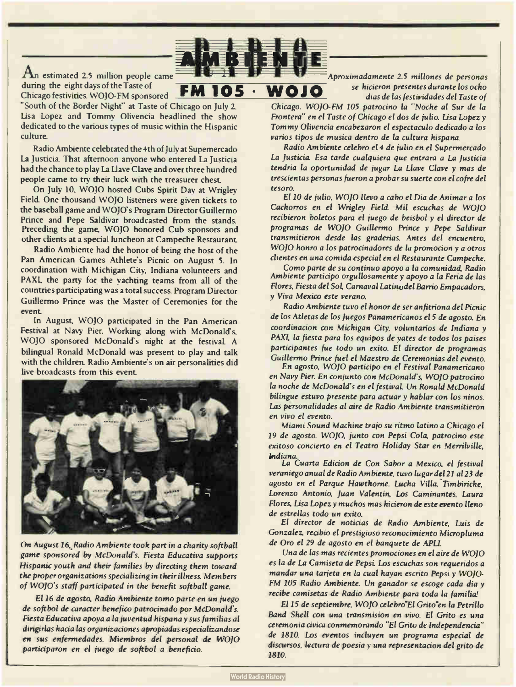

FM 105 • W010

An estimated 2.5 million people came during the eight days of the Taste of Chicago festivities, WOJO- FM sponsored

"South of the Border Night" at Taste of Chicago on July 2. Lisa Lopez and Tommy Olivencia headlined the show dedicated to the various types of music within the Hispanic culture.

Radio Ambiente celebrated the 4th of July at Supemercado La Justicia. That afternoon anyone who entered La Justicia had the chance to play La Llave Clave and over three hundred people came to try their luck with the treasurer chest

On July 10, WOJO hosted Cubs Spirit Day at Wrigley Field. One thousand WOJO listeners were given tickets to the baseball game and WOJO's Program Director Guillermo Prince and Pepe Saldivar broadcasted from the stands. Preceding the game. WOJO honored Cub sponsors and other clients at a special luncheon at Campeche Restaurant.

Radio Ambiente had the honor of being the host of the Pan American Games Athlete's Picnic on August 5. In coordination with Michigan City, Indiana volunteers and PAXI, the party for the yachting teams from all of the countries participating was a total success. Program Director Guillermo Prince was the Master of Ceremonies for the event

In August, WOJO participated in the Pan American Festival at Navy Pier. Working along with McDonald's, WOJO sponsored McDonald's night at the festivaL A bilingual Ronald McDonald was present to play and talk with the children. Radio Ambiente's on air personalities did live broadcasts from this event



On August 16. Radio Ambiente took part in a charity softball game sponsored by McDonald's. Fiesta Educativa supports Hispanic youth and their families by directing them toward the proper organizations specializing in their illness. Members of WOJO's staff participated in the benefit softball game.

El 16 de agosto, Radio Ambiente tomo parte en un juego de softbol de caracter benefico patrocinado por McDonald's. Fiesta Educativa apoya a la juventud hispana y sus familias al dirigirlas hacia las organizaciones apropiadas especializandose en sus enfermedades. Miembros del personal de WOJO participaron en el juego de softbol a beneficio.

Aproximadamente 2.5 millones de personas se hicieron presentes durante los ocho dias de las festividades del Taste of

Chicago. WOJO-FM 105 patrocino la " Noche al Sur de la Frontera" en el Taste of Chicago el dos de julio. Lisa Lopez y Tommy Olivencia encabezaron el espectaculo dedicado a los varios tipos de musica dentro de la cultura hispana.

Radio Ambiente celebro el 4 de julio en el Supermercado La Justicia. Esa tarde cualquiera que entrara a La Justicia tendria la oportunidad de jugar La Llave Clave y mas de trescientas personas fueron a probar su suerte con el cofre del tesoro.

El 10 de julio, WOJO llevo a cabo el Dia de Animar a los Cachorros en el Wrigley Field, Mil escuchas de WOJO recibieron boletos para el juego de beisbol y el director de programas de WOJO Guillermo Prince y Pepe Saldivar transmitieron desde las graderias. Antes del encuentro, WOJO honro a los patrocinadores de la promocion y a otros clientes en una comida especial en el Restaurante Campeche.

Como parte de su continuo apoyo a la comunidad, Radio Ambiente participo orgullosamente y apoyo a la Feria de las Flores, Fiesta del Sol, Carnaval Latinodel Barrio Empacadors, y Viva Mexico este verano.

Radio Ambiente tuvo el honor de ser anfitriona del Picnic de los Atletas de los Juegos Panamericanos el 5 de agosto. En coordinacion con Michigan City, voluntarios de Indiana y PAXI, la fiesta para los equipos de yates de todos los paises participantes fue todo un exito. El director de programas Guillermo Prince fuel el Maestro de Ceremonias del evento.

En agosto, WOJO participo en el Festival Panamericano en Navy Pier. En conjunto con McDonald's. WOJO patrocino la noche de McDonald's en el festival. Un Ronald McDonald bilingue estuvo presente para actuar y hablar con los ninos. Las personalidades al aire de Radio Ambiente transmitieron en vivo el evento.

Miami Sound Machine trajo su ritmo latino a Chicago el 19 de agosto. WOJO, junto con Pepsi Cola, patrocino este exitoso concierto en el Teatro Holiday Star en Merrilville, Indiana.

La Cuarta Edicion de Con Sabor a Mexico, el festival veraniego anual de Radio Ambiente, tuvo lugar de121 al 23 de agosto en el Parque Hawthorne. Lucha Villa, Timbiriche, Lorenzo Antonio. Juan Valentin, Los Caminantes, Laura Flores, Lisa Lopez y muchos mas hicieron de este evento lleno de estrellas todo un exito.

El director de noticias de Radio Ambiente, Luis de Gonzalez, recibio el prestigioso reconocimiento Micropluma de Oro el 29 de agosto en el banquete de APLI.

Una de las mas recientes promociones en el aire de WOJO es la de La Camiseta de Pepsi Los escuchas son requeridos a mandar una tarjeta en la cual hayan escrito Pepsi y WOJO-FM 105 Radio Ambiente. Un ganador se escoge cada dia y recibe camisetas de Radio Ambiente para toda la familial

El 15 de septiembre. WOJO celebro"El Grito"en la Petrillo Band Shell con una transmision en vivo. El Grito es una ceremonia civica conmemorando " El Grito de Independencia" de 1810. Los eventos incluyen un programa especial de discursos, lectura de poesia y una representacion del grito de 1810.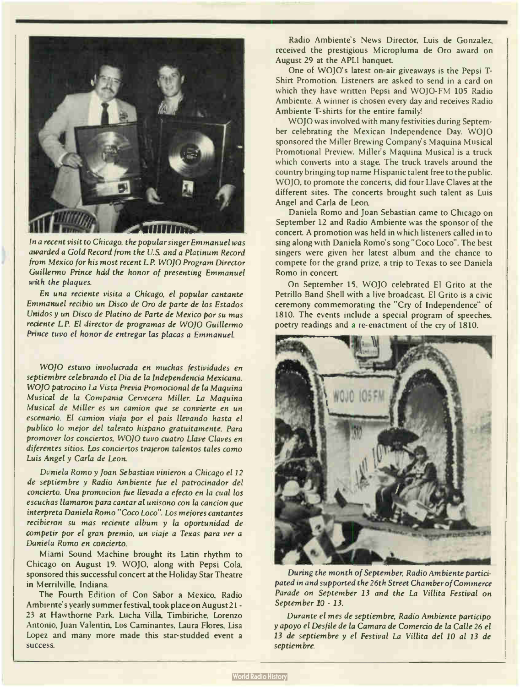

In a recent visit to Chicago, the popular singer Emmanuel was awarded a Gold Record from the U.S. and a Platinum Record from Mexico for his most recent LP. WOJO Program Director Guillermo Prince had the honor of presenting Emmanuel with the plaques.

En una reciente visita a Chicago, el popular cantante Emmanuel recibio un Disco de Oro de parte de los Estados Unidos y un Disco de Platino de Parte de Mexico por su mas reciente LP. El director de programas de WOJO Guillermo Prince tuvo el honor de entregar las placas a Emmanuel.

WOJO estuvo involucrada en muchas festividades en septiembre celebrando el Dia de la Independencia Mexicana. WOJO patrocino La Vista Previa Promocional de la Maquina Musical de la Compania Cervecera Miller. La Maquina Musical de Miller es un camion que se convierte en un escenario. El camion viaja por el pais llevando hasta el publico lo mejor del talento hispano gratuitamente. Para promover los conciertos, WOJO tuvo cuatro Llave Claves en diferentes sitios. Los conciertos trajeron talentos tales como Luis Angel y Carla de Leon.

Daniela Romo y Joan Sebastian vinieron a Chicago el 12 de septiembre y Radio Ambiente fue el patrocinador del concierto. Una promocion fue llevada a efecto en la cual los escuchas llamaron para cantar al unisono con la cancion que interpreta Daniela Romo " Coco Loco". Los mejores cantantes recibieron su mas reciente album y la oportunidad de competir por el gran premio, un viaje a Texas para ver a Daniela Romo en concierto.

Miami Sound Machine brought its Latin rhythm to Chicago on August 19. WOJO, along with Pepsi Cola, sponsored this successful concert at the Holiday Star Theatre in Merrilville, Indiana.

The Fourth Edition of Con Sabor a Mexico, Radio Ambiente's yearly summer festival, took place on August 21 -23 at Hawthorne Park. Lucha Villa, Timbiriche, Lorenzo Antonio, Juan Valentin, Los Caminantes, Laura Flores, Lisa Lopez and many more made this star-studded event a success.

Radio Ambiente's News Director, Luis de Gonzalez, received the prestigious Micropluma de Oro award on August 29 at the APLI banquet.

One of WOJO's latest on- air giveaways is the Pepsi T-Shirt Promotion. Listeners are asked to send in a card on which they have written Pepsi and WOJO-FM 105 Radio Ambiente. A winner is chosen every day and receives Radio Ambiente T-shirts for the entire family

WOJO was involved with many festivities during September celebrating the Mexican Independence Day. WOJO sponsored the Miller Brewing Company's Maquina Musical Promotional Preview. Miller's Maquina Musical is a truck which converts into a stage. The truck travels around the country bringing top name Hispanic talent free to the public. WOJO, to promote the concerts, did four Llave Claves at the different sites. The concerts brought such talent as Luis Angel and Carla de Leon.

Daniela Romo and Joan Sebastian came to Chicago on September 12 and Radio Ambiente was the sponsor of the concert A promotion was held in which listeners called in to sing along with Daniela Romo's song "Coco Loco". The best singers were given her latest album and the chance to compete for the grand prize, a trip to Texas to see Daniela Romo in concert

On September 15, WOJO celebrated El Grito at the Petrillo Band Shell with a live broadcast El Grito is a civic ceremony commemorating the "Cry of Independence" of 1810. The events include a special program of speeches, poetry readings and a re-enactment of the cry of 1810.



During the month of September, Radio Ambiente participated in and supported the 26th Street Chamber of Commerce Parade on September 13 and the La Villita Festival on September 10 - 13.

Durante el mes de septiembre, Radio Ambiente participo y apoyo el Desfile de la Camara de Comercio de la Calle 26 el 13 de septiembre y el Festival La Villita del 10 al 13 de septiembre.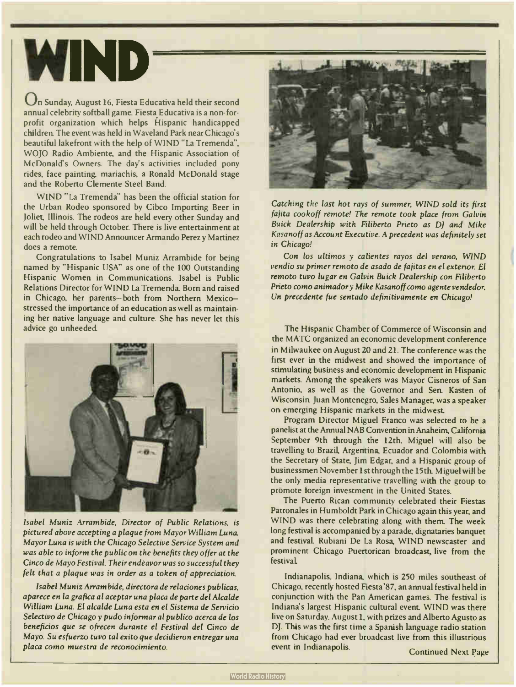## **WIND**

On Sunday, August 16, Fiesta Educativa held their second annual celebrity softball game. Fiesta Educativa is a non- forprofit organization which helps Hispanic handicapped children. The event was held in Waveland Park near Chicago's beautiful lakefront with the help of WIND "La Tremenda", WOJO Radio Ambiente, and the Hispanic Association of McDonald's Owners. The day's activities included pony rides, face painting, mariachis, a Ronald McDonald stage and the Roberto Clemente Steel Band.

WIND "La Tremenda" has been the official station for the Urban Rodeo sponsored by Cibco Importing Beer in Joliet, Illinois. The rodeos are held every other Sunday and will be held through October. There is live entertainment at each rodeo and WIND Announcer Armando Perez y Martinez does a remote.

Congratulations to Isabel Muniz Arrambide for being named by "Hispanic USA" as one of the 100 Outstanding Hispanic Women in Communications. Isabel is Public Relations Director for WIND La Tremenda. Born and raised in Chicago, her parents— both from Northern Mexico stressed the importance of an education as well as maintaining her native language and culture. She has never let this advice go unheeded.



Isabel Muniz Arrambide, Director of Public Relations, is pictured above accepting a plaque from Mayor William Luna. Mayor Luna is with the Chicago Selective Service System and was able to inform the public on the benefits they offer at the Cinco de Mayo Festival. Their endeavor was so successful they felt that a plaque was in order as a token of appreciation.

Isabel Muniz Arram bide, directora de relaciones publicas, aparece en la grafica al aceptar una placa de parte del Alcalde William Luna. El alcalde Luna esta en el Sistema de Servicio Selectivo de Chicago y pudo informar al publico acerca de los beneficios que se ofrecen durante el Festival del Cinco de Mayo. Su esfuerzo tuvo tal exito que decidieron entregar una placa como muestra de reconocimiento.



Catching the last hot rays of summer, WIND sold its first fajita cookoff remote! The remote took place from Galvin Buick Dealership with Filiberto Prieto as DJ and Mike Kasanoff as Account Executive. A precedent was definitely set in Chicago!

Con los ultimos y calientes rayos del verano, WIND vendio su primer remoto de asado de fajitas en el exterior. El remoto tuvo lugar en Galvin Buick Dealership con Filiberto Prieto como animador y Mike Kasanoff como agente vendedor. Un precedente fue sentado definitivamente en Chicago!

The Hispanic Chamber of Commerce of Wisconsin and the MATC organized an economic development conference in Milwaukee on August 20 and 21. The conference was the first ever in the midwest and showed the importance of stimulating business and economic development in Hispanic markets. Among the speakers was Mayor Cisneros of San Antonio, as well as the Governor and Sen Kasten of Wisconsin Juan Montenegro, Sales Manager, was a speaker on emerging Hispanic markets in the midwest

Program Director Miguel Franco was selected to be a panelist at the Annual NAB Convention in Anaheim, California September 9th through the 12th. Miguel will also be travelling to Brazil, Argentina, Ecuador and Colombia with the Secretary of State, Jim Edgar, and a Hispanic group of businessmen November 1st through the 15th. Miguel will be the only media representative travelling with the group to promote foreign investment in the United States.

The Puerto Rican community celebrated their Fiestas Patronales in Humboldt Park in Chicago again this year, and WIND was there celebrating along with them. The week long festival is accompanied by a parade, dignataries banquet and festivaL Rubiani De La Rosa, WIND newscaster and prominent Chicago Puertorican broadcast, live from the festival.

Indianapolis, Indiana, which is 250 miles southeast of Chicago, recently hosted Fiesta '87, an annual festival held in conjunction with the Pan American games. The festival is Indiana's largest Hispanic cultural event WIND was there live on Saturday. August 1, with prizes and Alberto Agusto as DJ. This was the first time a Spanish language radio station from Chicago had ever broadcast live from this illustrious event in Indianapolis.<br>
Continued Next Page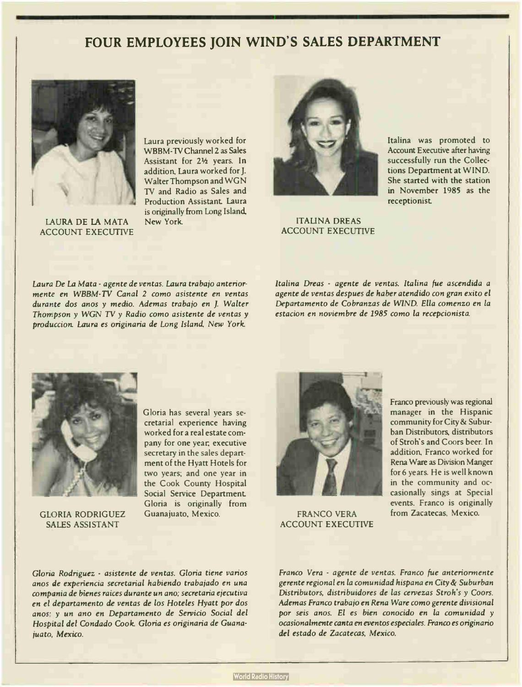### FOUR EMPLOYEES JOIN WIND'S SALES DEPARTMENT



LAURA DE LA MATA ACCOUNT EXECUTIVE

Laura previously worked for WBBM-TV Channel 2 as Sales Assistant for 2½ years. In addition, Laura worked for J. Walter Thompson and WGN TV and Radio as Sales and Production Assistant. Laura is originally from Long Island, New York



ITALINA DREAS ACCOUNT EXECUTIVE Italina was promoted to Account Executive after having successfully run the Collections Department at WIND. She started with the station in November 1985 as the receptionist

Laura De La Mata - agente de yentas. Laura trabajo anteriormente en WBBM-TV Canal 2 como asistente en yentas durante dos anos y medio. Ademas trabajo en J. Walter Thompson y WGN TV y Radio como asistente de yentas y produccion. Laura es originaria de Long Island, New York.

Italina Dreas - agente de ventas. Italina fue ascendida a agente de yentas despues de haber atendido con gran exito el Departamento de Cobranzas de WIND. Ella comenzo en la estacion en noviembre de 1985 como la recepcionista.



GLORIA RODRIGUEZ SALES ASSISTANT

Gloria has several years secretarial experience having worked for a real estate company for one year, executive secretary in the sales department of the Hyatt Hotels for two years; and one year in the Cook County Hospital Social Service Department. Gloria is originally from Guanajuato, Mexico.



FRANCO VERA ACCOUNT EXECUTIVE

Franco previously was regional manager in the Hispanic community for City 8z Suburban Distributors, distributors of Stroh's and Coors beer. In addition, Franco worked for Rena Ware as Division Manger for 6 years. He is well known in the community and occasionally sings at Special events. Franco is originally from Zacatecas, Mexico.

Gloria Rodriguez - asistente de yentas. Gloria tiene varios anos de experiencia secretarial habiendo trabajado en una compania de bienes raices durante un ano; secretaria ejecutiva en el departamento de yentas de los Hoteles Hyatt por dos anos: y un ano en Departamento de Servicio Social del Hospital del Condado Cook. Gloria es originaria de Guanajuato, Mexico.

Franco Vera - agente de yentas. Franco fue anteriormente gerente regional en la comunidad hispana en City& Suburban Distributors, distribuidores de las cervezas Stroh's y Coors. Ademas Franco trabajo en Rena Ware como gerente divisional por seis anos. El es bien conocido en la comunidad y ocasionalmente canta en eventos especiales. Franco es originario del estado de Zacatecas, Mexico.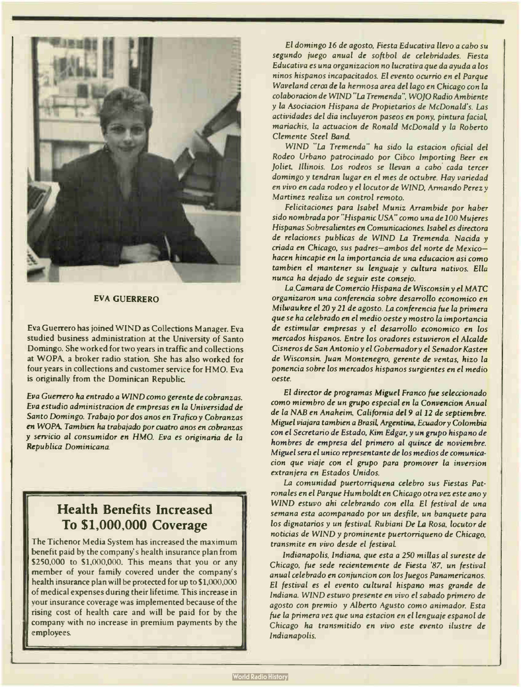

#### EVA GUERRERO

Eva Guerrero has joined WIND as Collections Manager. Eva studied business administration at the University of Santo Domingo. She worked for two years in traffic and collections at WOPA, a broker radio station. She has also worked for four years in collections and customer service for HMO. Eva is originally from the Dominican Republic

Eva Guerrero ha entrado a WIND como gerente de cobranzas. Eva estudic administracion de empresas en la Universidad de Santo Domingo. Trabajo por dos anos en Trafico y Cobranzas en WOPA Tam bien ha trabajado por cuatro anos en cobranzas y servicio al consumidor en HMO. Eva es originaria de la Republica Dominicana.

### Health Benefits Increased To \$1,000,000 Coverage

The Tichenor Media System has increased the maximum benefit paid by the company's health insurance plan from \$250,000 to \$1,000,000. This means that you or any member of your family covered under the company's health insurance plan will be protected for up to \$1,000,000 of medical expenses during their lifetime. This increase in your insurance coverage was implemented because of the rising cost of health care and will be paid for by the company with no increase in premium payments by the employees

El domingo 16 de agosto, Fiesta Educativa llevo a cabo su segundo juego anual de softbol de celebridades. Fiesta Educativa es una organizacion no lucrativa que da ayuda a los ninos hispanos incapacitados. El evento ocurrio en el Parque Waveland cerca de la hermosa area del lago en Chicago con la colaboracion de WIND "La Tremenda", WOJO Radio Ambiente y la Asociacion Hispana de Propietarios de McDonald's. Las actividades del dia incluyeron paseos en pony, pintura facial, mariachis, la actuacion de Ronald McDonald y la Roberto Clemente Steel Band.

WIND "La Tremenda" ha sido la estacion oficial del Rodeo Urbano patrocinado por Cibco Importing Beer en Joliet, Illinois. Los rodeos se llevan a cabo.cada tercer domingo y tendran lugar en el mes de octubre. Hay variedad en vivo en cada rodeo y el locutor de WIND, Armando Perez y Martinez realiza un control remoto.

Felicitaciones para Isabel Muniz Arrambide por haber sido nombrada por "Hispanic USA" como una de 100 Mujeres Hispanas Sobresalientes en Comunicaciones. Isabel es directora de relaciones publicas de WIND La Tremenda. Nacida y criada en Chicago, sus padres— ambos del norte de Mexico hacen hincapie en la importancia de una educacion asi como tambien el mantener su lenguaje y cultura nativos. Ella nunca ha dejado de seguir este consejo.

La Camara de Comercio Hispana de Wisconsin y el MATC organizaron una conferencia sobre desarrollo economico en Milwaukee el 20 y 21 de agosto. La conferencia fue la primera que se ha celebrado en el medio oeste y mostro la importancia de estimular empresas y el desarrollo economico en los mercados hispanos. Entre los oradores estuvieron el Alcalde Cisneros de San Antonio y el Gobernadory el Senador Kasten de Wisconsin. Juan Montenegro, gerente de yentas, hizo la ponencia sobre los mercados hispanos surgientes en el medio oeste.

El director de programas Miguel Franco fue seleccionado como miembro de un grupo especial en la Convencion Anual de la NAB en Anaheim, California del 9 al 12 de septiembre. Miguel viajara tambien a Brasil, Argentina, Ecuador y Colombia con el Secretario de Estado, Kim Edgar, y un grupo hispano de hombres de empresa del primero al quince de noviembre. Miguel sera el unico representante de los medios de comunicacion que viaje con el grupo para promover la inversion extranjera en Estados Unidos.

La comunidad puertorriquena celebro sus Fiestas Patronales en el Parque Humboldt en Chicago otra vez este ano y WIND estuvo ahi celebrando con ella. El festival de una semana esta acompanado por un desfile, un banquete para los dignatarios y un festival. Rubiani De La Rosa, locutor de noticias de WIND y prominente puertorriqueno de Chicago, transmite en vivo desde el festival.

Indianapolis, Indiana, que esta a 250 millas al sureste de Chicago, fue sede recientemente de Fiesta '87, un festival anual celebrado en conjuncion con los Juegos Panamericanos. El festival es el evento cultural hispano mas grande de Indiana. WIND estuvo presente en vivo el sabado primero de agosto con premio y Alberto Agusto como animador. Esta fue la primera vez que una estacion en el lenguaje espanol de Chicago ha transmitido en vivo este evento ilustre de Indianapolis.

•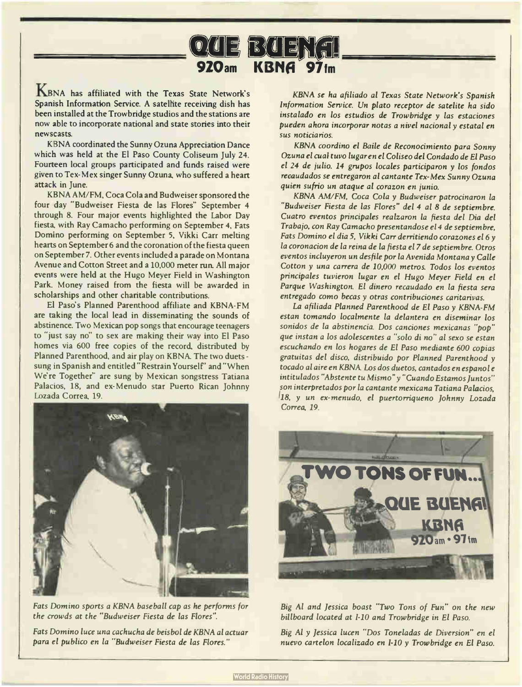## 020 E B 4 E N 1

KBNA has affiliated with the Texas State Network's Spanish Information Service. A satellite receiving dish has been installed at the Trowbridge studios and the stations are now able to incorporate national and state stories into their newscasts.

KBNA coordinated the Sunny Ozuna Appreciation Dance which was held at the El Paso County Coliseum July 24. Fourteen local groups participated and funds raised were given to Tex-Mex singer Sunny Ozuna, who suffered a heart attack in June.

KBNA AM/FM, Coca Cola and Budweiser sponsored the four day " Budweiser Fiesta de las Flores" September 4 through 8. Four major events highlighted the Labor Day fiesta, with Ray Camacho performing on September 4, Fats Domino performing on September 5, Vikki Carr melting hearts on September 6 and the coronation of the fiesta queen on September 7. Other events included a parade on Montana Avenue and Cotton Street and a 10,000 meter run. All major events were held at the Hugo Meyer Field in Washington Park, Money raised from the fiesta will be awarded in scholarships and other charitable contributions.

El Paso's Planned Parenthood affiliate and KBNA-FM are taking the local lead in disseminating the sounds of abstinence. Two Mexican pop songs that encourage teenagers to "just say no" to sex are making their way into El Paso homes via 600 free copies of the record, distributed by Planned Parenthood, and air play on KBNA The two duets sung in Spanish and entitled "Restrain Yourself' and "When We're Together" are sung by Mexican songstress Tatiana Palacios, 18, and ex-Menudo star Puerto Rican Johnny Lozada Correa, 19.



Fats Domino sports a KBNA baseball cap as he performs for the crowds at the " Budweiser Fiesta de las Flores".

Fats Domino luce una cachucha de beisbol de KBNA al actuar para el publico en la " Budweiser Fiesta de las Flores."

KBNA se ha afiliado al Texas State Network's Spanish Information Service. Un plato receptor de satelite ha sido instalado en los estudios de Trowbridge y las estaciones pueden ahora incorporar notas a nivel nacional y estatal en sus noticiarios.

KBNA coordino el Baile de Reconocimiento para Sonny Ozuna el cual tuvo lugar en el Coliseo del Condado de El Paso el 24 de julio. <sup>14</sup> grupos locales participaron y los fondos recaudados se entregaron al cantante Tex-Mex Sunny Ozuna quien sufrio un ataque al corazon en junio.

KBNA AM/FM, Coca Cola y Budweiser patrocinaron la "Budweiser Fiesta de las Flores" del 4 al 8 de septiembre. Cuatro eventos principales realzaron la fiesta del Dia del Trabajo, con Ray Camacho presentandose e14 de septiembre, Fats Domino el dia 5, Vikki Carr derritiendo corazones el 6 y la coronacion de la reina de la fiesta el 7 de septiembre. Otros eventos incluyeron un desfile por la Avenida Montana y Calle Cotton y una carrera de 10,000 metros. Todos los eventos principales tuvieron lugar en el Hugo Meyer Field en el Parque Washington. El dinero recaudado en la fiesta sera entregado como becas y otras contribuciones caritarivas.

La afiliada Planned Parenthood de El Paso y KBNA-FM estan tomando localmente la delantera en diseminar los sonidos de la abstinencia. Dos canciones mexicanas "pop" que instan a los adolescentes a "solo di no" al sexo se estan escuchando en los hogares de El Paso mediante 600 copias gratuitas del disco, distribuido por Planned Parenthood y tocado al aire en KBNA Los dos duetos, cantados en espanol e intitulados "Abstente tu Mismo" y " Cuando Estamos Juntos" son interpretados por la cantante mexicana Tatiana Palacios, 18, y un ex-menudo, el puertorriqueno Johnny Lozada Correa, 19,



Big Al and Jessica boast "Two Tons of Fun" on the new billboard located at 1-10 and Trowbridge in El Paso.

Big Al y Jessica lucen "Dos Toneladas de Diversion" en el nuevo cartelon localizado en 1-10 y Trowbridge en El Paso.